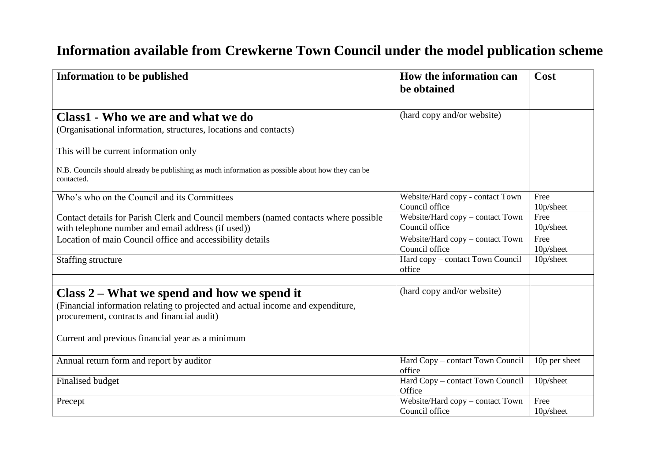## **Information available from Crewkerne Town Council under the model publication scheme**

| <b>Information to be published</b>                                                                                                                                              | How the information can<br>be obtained             | Cost          |
|---------------------------------------------------------------------------------------------------------------------------------------------------------------------------------|----------------------------------------------------|---------------|
| Class1 - Who we are and what we do                                                                                                                                              | (hard copy and/or website)                         |               |
| (Organisational information, structures, locations and contacts)                                                                                                                |                                                    |               |
| This will be current information only                                                                                                                                           |                                                    |               |
| N.B. Councils should already be publishing as much information as possible about how they can be<br>contacted.                                                                  |                                                    |               |
| Who's who on the Council and its Committees                                                                                                                                     | Website/Hard copy - contact Town<br>Council office | Free          |
|                                                                                                                                                                                 |                                                    | 10p/sheet     |
| Contact details for Parish Clerk and Council members (named contacts where possible                                                                                             | Website/Hard copy - contact Town<br>Council office | Free          |
| with telephone number and email address (if used))                                                                                                                              |                                                    | 10p/sheet     |
| Location of main Council office and accessibility details                                                                                                                       | Website/Hard copy - contact Town                   | Free          |
|                                                                                                                                                                                 | Council office                                     | 10p/sheet     |
| <b>Staffing structure</b>                                                                                                                                                       | Hard copy - contact Town Council<br>office         | 10p/sheet     |
|                                                                                                                                                                                 |                                                    |               |
| Class $2$ – What we spend and how we spend it<br>(Financial information relating to projected and actual income and expenditure,<br>procurement, contracts and financial audit) | (hard copy and/or website)                         |               |
| Current and previous financial year as a minimum                                                                                                                                |                                                    |               |
| Annual return form and report by auditor                                                                                                                                        | Hard Copy - contact Town Council<br>office         | 10p per sheet |
| Finalised budget                                                                                                                                                                | Hard Copy - contact Town Council                   | 10p/sheet     |
|                                                                                                                                                                                 | Office                                             |               |
| Precept                                                                                                                                                                         | Website/Hard copy - contact Town                   | Free          |
|                                                                                                                                                                                 | Council office                                     | 10p/sheet     |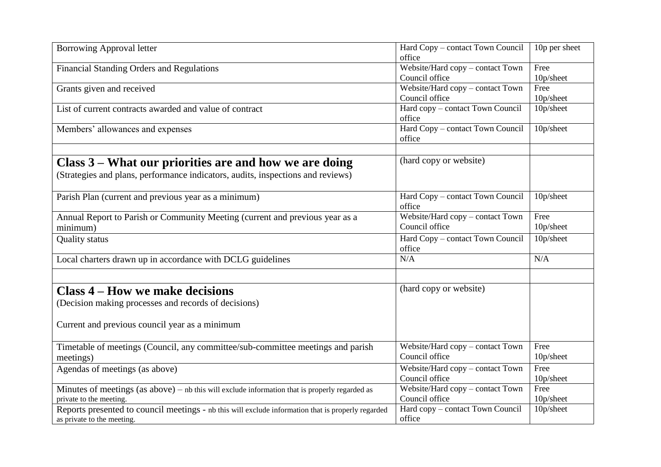| <b>Borrowing Approval letter</b>                                                                                                          | Hard Copy - contact Town Council<br>office         | 10p per sheet     |
|-------------------------------------------------------------------------------------------------------------------------------------------|----------------------------------------------------|-------------------|
| <b>Financial Standing Orders and Regulations</b>                                                                                          | Website/Hard copy - contact Town<br>Council office | Free<br>10p/sheet |
| Grants given and received                                                                                                                 | Website/Hard copy - contact Town<br>Council office | Free<br>10p/sheet |
| List of current contracts awarded and value of contract                                                                                   | Hard copy - contact Town Council<br>office         | 10p/sheet         |
| Members' allowances and expenses                                                                                                          | Hard Copy - contact Town Council<br>office         | 10p/sheet         |
| Class 3 – What our priorities are and how we are doing<br>(Strategies and plans, performance indicators, audits, inspections and reviews) | (hard copy or website)                             |                   |
| Parish Plan (current and previous year as a minimum)                                                                                      | Hard Copy - contact Town Council<br>office         | 10p/sheet         |
| Annual Report to Parish or Community Meeting (current and previous year as a<br>minimum)                                                  | Website/Hard copy - contact Town<br>Council office | Free<br>10p/sheet |
| <b>Quality status</b>                                                                                                                     | Hard Copy - contact Town Council<br>office         | 10p/sheet         |
| Local charters drawn up in accordance with DCLG guidelines                                                                                | N/A                                                | N/A               |
| <b>Class 4 – How we make decisions</b><br>(Decision making processes and records of decisions)                                            | (hard copy or website)                             |                   |
| Current and previous council year as a minimum                                                                                            |                                                    |                   |
| Timetable of meetings (Council, any committee/sub-committee meetings and parish<br>meetings)                                              | Website/Hard copy - contact Town<br>Council office | Free<br>10p/sheet |
| Agendas of meetings (as above)                                                                                                            | Website/Hard copy - contact Town<br>Council office | Free<br>10p/sheet |
| Minutes of meetings $(as above) - nb$ this will exclude information that is properly regarded as<br>private to the meeting.               | Website/Hard copy - contact Town<br>Council office | Free<br>10p/sheet |
| Reports presented to council meetings - nb this will exclude information that is properly regarded<br>as private to the meeting.          | Hard copy - contact Town Council<br>office         | 10p/sheet         |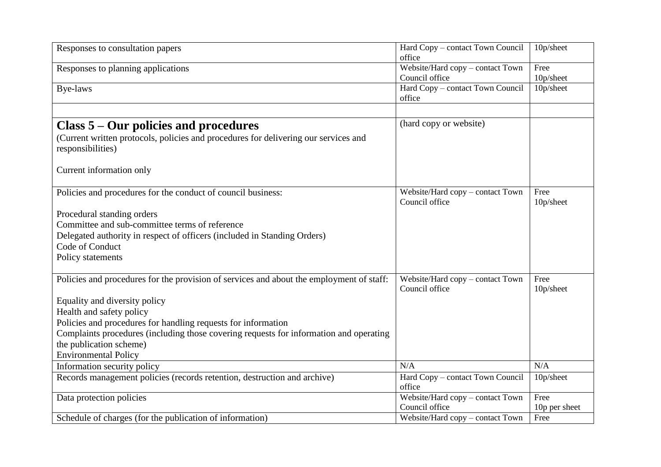| Responses to consultation papers                                                                         | Hard Copy - contact Town Council<br>office         | 10p/sheet         |
|----------------------------------------------------------------------------------------------------------|----------------------------------------------------|-------------------|
| Responses to planning applications                                                                       | Website/Hard copy - contact Town<br>Council office | Free<br>10p/sheet |
| Bye-laws                                                                                                 | Hard Copy - contact Town Council<br>office         | 10p/sheet         |
| Class 5 – Our policies and procedures                                                                    | (hard copy or website)                             |                   |
| (Current written protocols, policies and procedures for delivering our services and<br>responsibilities) |                                                    |                   |
| Current information only                                                                                 |                                                    |                   |
| Policies and procedures for the conduct of council business:                                             | Website/Hard copy - contact Town<br>Council office | Free<br>10p/sheet |
| Procedural standing orders                                                                               |                                                    |                   |
| Committee and sub-committee terms of reference                                                           |                                                    |                   |
| Delegated authority in respect of officers (included in Standing Orders)                                 |                                                    |                   |
| Code of Conduct                                                                                          |                                                    |                   |
| Policy statements                                                                                        |                                                    |                   |
| Policies and procedures for the provision of services and about the employment of staff:                 | Website/Hard copy - contact Town<br>Council office | Free<br>10p/sheet |
| Equality and diversity policy                                                                            |                                                    |                   |
| Health and safety policy                                                                                 |                                                    |                   |
| Policies and procedures for handling requests for information                                            |                                                    |                   |
| Complaints procedures (including those covering requests for information and operating                   |                                                    |                   |
| the publication scheme)                                                                                  |                                                    |                   |
| <b>Environmental Policy</b>                                                                              |                                                    |                   |
| Information security policy                                                                              | N/A                                                | N/A               |
| Records management policies (records retention, destruction and archive)                                 | Hard Copy - contact Town Council<br>office         | 10p/sheet         |
| Data protection policies                                                                                 | Website/Hard copy - contact Town                   | Free              |
|                                                                                                          | Council office                                     | 10p per sheet     |
| Schedule of charges (for the publication of information)                                                 | Website/Hard copy – contact Town                   | Free              |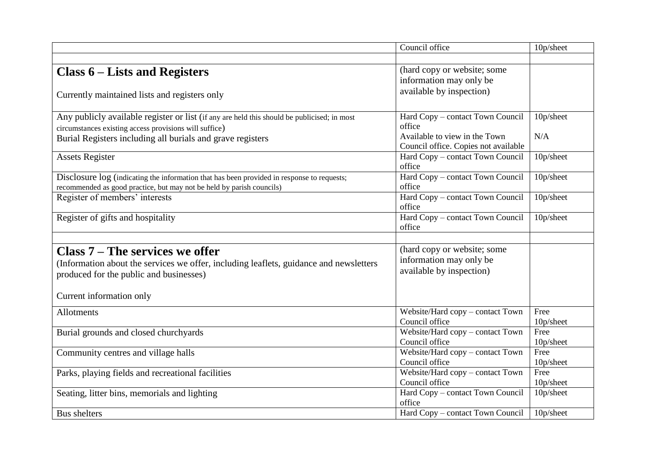|                                                                                             | Council office                       | 10p/sheet |
|---------------------------------------------------------------------------------------------|--------------------------------------|-----------|
|                                                                                             |                                      |           |
| Class $6$ – Lists and Registers                                                             | (hard copy or website; some          |           |
|                                                                                             | information may only be              |           |
| Currently maintained lists and registers only                                               | available by inspection)             |           |
|                                                                                             |                                      |           |
| Any publicly available register or list (if any are held this should be publicised; in most | Hard Copy - contact Town Council     | 10p/sheet |
| circumstances existing access provisions will suffice)                                      | office                               |           |
| Burial Registers including all burials and grave registers                                  | Available to view in the Town        | N/A       |
|                                                                                             | Council office. Copies not available |           |
| <b>Assets Register</b>                                                                      | Hard Copy - contact Town Council     | 10p/sheet |
|                                                                                             | office                               |           |
| Disclosure log (indicating the information that has been provided in response to requests;  | Hard Copy - contact Town Council     | 10p/sheet |
| recommended as good practice, but may not be held by parish councils)                       | office                               |           |
| Register of members' interests                                                              | Hard Copy - contact Town Council     | 10p/sheet |
|                                                                                             | office                               |           |
| Register of gifts and hospitality                                                           | Hard Copy - contact Town Council     | 10p/sheet |
|                                                                                             | office                               |           |
|                                                                                             |                                      |           |
| Class $7 -$ The services we offer                                                           | (hard copy or website; some          |           |
| (Information about the services we offer, including leaflets, guidance and newsletters      | information may only be              |           |
| produced for the public and businesses)                                                     | available by inspection)             |           |
|                                                                                             |                                      |           |
| Current information only                                                                    |                                      |           |
|                                                                                             |                                      |           |
| <b>Allotments</b>                                                                           | Website/Hard copy - contact Town     | Free      |
|                                                                                             | Council office                       | 10p/sheet |
| Burial grounds and closed churchyards                                                       | Website/Hard copy - contact Town     | Free      |
|                                                                                             | Council office                       | 10p/sheet |
| Community centres and village halls                                                         | Website/Hard copy - contact Town     | Free      |
|                                                                                             | Council office                       | 10p/sheet |
| Parks, playing fields and recreational facilities                                           | Website/Hard copy - contact Town     | Free      |
|                                                                                             | Council office                       | 10p/sheet |
| Seating, litter bins, memorials and lighting                                                | Hard Copy - contact Town Council     | 10p/sheet |
|                                                                                             | office                               |           |
| <b>Bus shelters</b>                                                                         | Hard Copy - contact Town Council     | 10p/sheet |